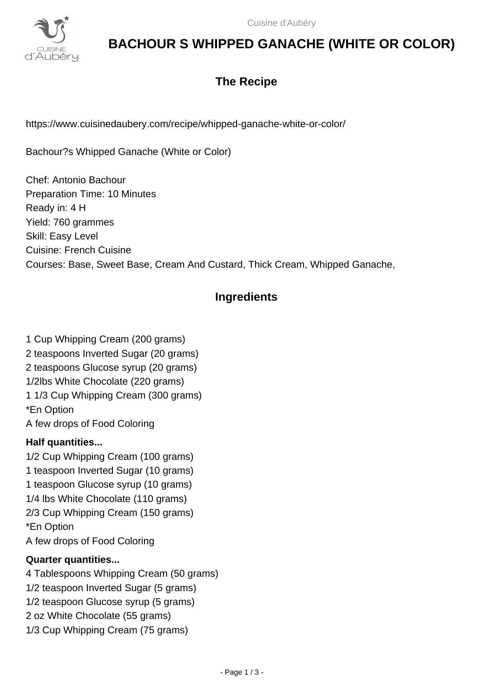

# **BACHOUR S WHIPPED GANACHE (WHITE OR COLOR)**

# **The Recipe**

https://www.cuisinedaubery.com/recipe/whipped-ganache-white-or-color/

Bachour?s Whipped Ganache (White or Color)

Chef: Antonio Bachour Preparation Time: 10 Minutes Ready in: 4 H Yield: 760 grammes Skill: Easy Level Cuisine: French Cuisine Courses: Base, Sweet Base, Cream And Custard, Thick Cream, Whipped Ganache,

## **Ingredients**

1 Cup Whipping Cream (200 grams) 2 teaspoons Inverted Sugar (20 grams) 2 teaspoons Glucose syrup (20 grams) 1/2lbs White Chocolate (220 grams) 1 1/3 Cup Whipping Cream (300 grams) \*En Option A few drops of Food Coloring

## **Half quantities...**

1/2 Cup Whipping Cream (100 grams) 1 teaspoon Inverted Sugar (10 grams) 1 teaspoon Glucose syrup (10 grams) 1/4 lbs White Chocolate (110 grams) 2/3 Cup Whipping Cream (150 grams) \*En Option A few drops of Food Coloring

## **Quarter quantities...**

4 Tablespoons Whipping Cream (50 grams) 1/2 teaspoon Inverted Sugar (5 grams) 1/2 teaspoon Glucose syrup (5 grams) 2 oz White Chocolate (55 grams) 1/3 Cup Whipping Cream (75 grams)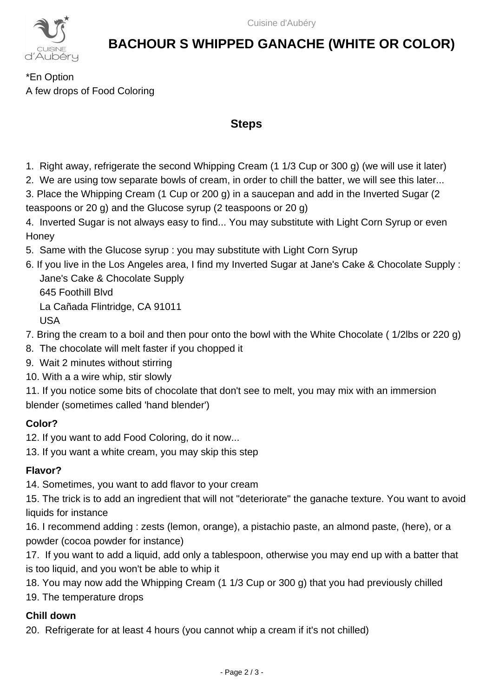

# **BACHOUR S WHIPPED GANACHE (WHITE OR COLOR)**

\*En Option A few drops of Food Coloring

### **Steps**

- 1. Right away, refrigerate the second Whipping Cream (1 1/3 Cup or 300 g) (we will use it later)
- 2. We are using tow separate bowls of cream, in order to chill the batter, we will see this later...
- 3. Place the Whipping Cream (1 Cup or 200 g) in a saucepan and add in the Inverted Sugar (2 teaspoons or 20 g) and the Glucose syrup (2 teaspoons or 20 g)
- 4. Inverted Sugar is not always easy to find... You may substitute with Light Corn Syrup or even **Honey**
- 5. Same with the Glucose syrup : you may substitute with Light Corn Syrup
- 6. If you live in the Los Angeles area, I find my Inverted Sugar at Jane's Cake & Chocolate Supply : Jane's Cake & Chocolate Supply 645 Foothill Blvd La Cañada Flintridge, CA 91011 USA
- 7. Bring the cream to a boil and then pour onto the bowl with the White Chocolate ( 1/2lbs or 220 g)
- 8. The chocolate will melt faster if you chopped it
- 9. Wait 2 minutes without stirring
- 10. With a a wire whip, stir slowly
- 11. If you notice some bits of chocolate that don't see to melt, you may mix with an immersion blender (sometimes called 'hand blender')

### **Color?**

- 12. If you want to add Food Coloring, do it now...
- 13. If you want a white cream, you may skip this step

### **Flavor?**

14. Sometimes, you want to add flavor to your cream

15. The trick is to add an ingredient that will not "deteriorate" the ganache texture. You want to avoid liquids for instance

16. I recommend adding : zests (lemon, orange), a pistachio paste, an almond paste, (here), or a powder (cocoa powder for instance)

17. If you want to add a liquid, add only a tablespoon, otherwise you may end up with a batter that is too liquid, and you won't be able to whip it

18. You may now add the Whipping Cream (1 1/3 Cup or 300 g) that you had previously chilled

19. The temperature drops

### **Chill down**

20. Refrigerate for at least 4 hours (you cannot whip a cream if it's not chilled)